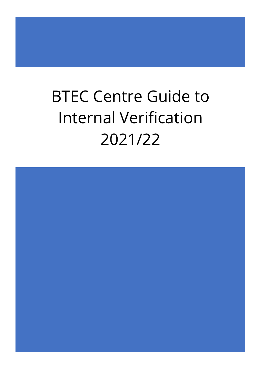## BTEC Centre Guide to Internal Verification 2021/22

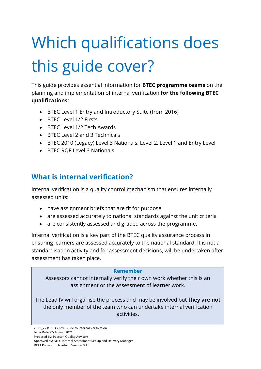# Which qualifications does this guide cover?

This guide provides essential information for **BTEC programme teams** on the planning and implementation of internal verification **for the following BTEC qualifications:**

- BTEC Level 1 Entry and Introductory Suite (from 2016)
- BTEC Level 1/2 Firsts
- BTEC Level 1/2 Tech Awards
- BTEC Level 2 and 3 Technicals
- BTEC 2010 (Legacy) Level 3 Nationals, Level 2, Level 1 and Entry Level
- BTEC RQF Level 3 Nationals

## **What is internal verification?**

Internal verification is a quality control mechanism that ensures internally assessed units:

- have assignment briefs that are fit for purpose
- are assessed accurately to national standards against the unit criteria
- are consistently assessed and graded across the programme.

Internal verification is a key part of the BTEC quality assurance process in ensuring learners are assessed accurately to the national standard. It is not a standardisation activity and for assessment decisions, will be undertaken after assessment has taken place.

#### **Remember**

Assessors cannot internally verify their own work whether this is an assignment or the assessment of learner work.

The Lead IV will organise the process and may be involved but **they are not** the only member of the team who can undertake internal verification activities.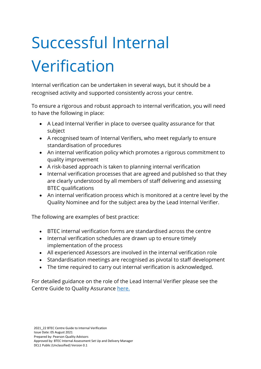## Successful Internal Verification

Internal verification can be undertaken in several ways, but it should be a recognised activity and supported consistently across your centre.

To ensure a rigorous and robust approach to internal verification, you will need to have the following in place:

- A Lead Internal Verifier in place to oversee quality assurance for that subject
- A recognised team of Internal Verifiers, who meet regularly to ensure standardisation of procedures
- An internal verification policy which promotes a rigorous commitment to quality improvement
- A risk-based approach is taken to planning internal verification
- Internal verification processes that are agreed and published so that they are clearly understood by all members of staff delivering and assessing BTEC qualifications
- An internal verification process which is monitored at a centre level by the Quality Nominee and for the subject area by the Lead Internal Verifier.

The following are examples of best practice:

- BTEC internal verification forms are standardised across the centre
- Internal verification schedules are drawn up to ensure timely implementation of the process
- All experienced Assessors are involved in the internal verification role
- Standardisation meetings are recognised as pivotal to staff development
- The time required to carry out internal verification is acknowledged.

For detailed guidance on the role of the Lead Internal Verifier please see the Centre Guide to Quality Assurance [here.](https://qualifications.pearson.com/en/support/support-for-you/quality-nominees/btec-entry-level-3.html)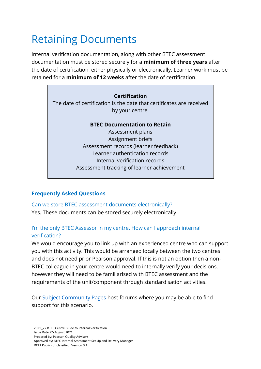## Retaining Documents

Internal verification documentation, along with other BTEC assessment documentation must be stored securely for a **minimum of three years** after the date of certification, either physically or electronically. Learner work must be retained for a **minimum of 12 weeks** after the date of certification.

### **Certification**

The date of certification is the date that certificates are received by your centre.

#### **BTEC Documentation to Retain**

Assessment plans Assignment briefs Assessment records (learner feedback) Learner authentication records Internal verification records Assessment tracking of learner achievement

### **Frequently Asked Questions**

Can we store BTEC assessment documents electronically? Yes. These documents can be stored securely electronically.

### I'm the only BTEC Assessor in my centre. How can I approach internal verification?

We would encourage you to link up with an experienced centre who can support you with this activity. This would be arranged locally between the two centres and does not need prior Pearson approval. If this is not an option then a non-BTEC colleague in your centre would need to internally verify your decisions, however they will need to be familiarised with BTEC assessment and the requirements of the unit/component through standardisation activities.

Our [Subject Community Pages](https://support.pearson.com/uk/s/groups) host forums where you may be able to find support for this scenario.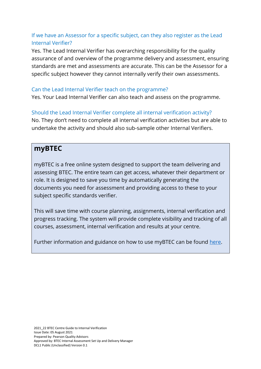## If we have an Assessor for a specific subject, can they also register as the Lead Internal Verifier?

Yes. The Lead Internal Verifier has overarching responsibility for the quality assurance of and overview of the programme delivery and assessment, ensuring standards are met and assessments are accurate. This can be the Assessor for a specific subject however they cannot internally verify their own assessments.

#### Can the Lead Internal Verifier teach on the programme?

Yes. Your Lead Internal Verifier can also teach and assess on the programme.

### Should the Lead Internal Verifier complete all internal verification activity?

No. They don't need to complete all internal verification activities but are able to undertake the activity and should also sub-sample other Internal Verifiers.

## **myBTEC**

myBTEC is a free online system designed to support the team delivering and assessing BTEC. The entire team can get access, whatever their department or role. It is designed to save you time by automatically generating the documents you need for assessment and providing access to these to your subject specific standards verifier.

This will save time with course planning, assignments, internal verification and progress tracking. The system will provide complete visibility and tracking of all courses, assessment, internal verification and results at your centre.

Further information and guidance on how to use myBTEC can be found [here.](https://qualifications.pearson.com/en/support/Services/myBTEC.html)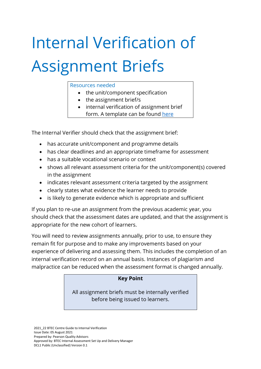# Internal Verification of Assignment Briefs

#### Resources needed

- the unit/component specification
- the assignment brief/s
- internal verification of assignment brief form. A template can be found [here](https://qualifications.pearson.com/en/support/support-for-you/quality-nominees/btec-entry-level-3.html)

The Internal Verifier should check that the assignment brief:

- has accurate unit/component and programme details
- has clear deadlines and an appropriate timeframe for assessment
- has a suitable vocational scenario or context
- shows all relevant assessment criteria for the unit/component(s) covered in the assignment
- indicates relevant assessment criteria targeted by the assignment
- clearly states what evidence the learner needs to provide
- is likely to generate evidence which is appropriate and sufficient

If you plan to re-use an assignment from the previous academic year, you should check that the assessment dates are updated, and that the assignment is appropriate for the new cohort of learners.

You will need to review assignments annually, prior to use, to ensure they remain fit for purpose and to make any improvements based on your experience of delivering and assessing them. This includes the completion of an internal verification record on an annual basis. Instances of plagiarism and malpractice can be reduced when the assessment format is changed annually.

### **Key Point**

All assignment briefs must be internally verified before being issued to learners.

2021\_22 BTEC Centre Guide to Internal Verification Issue Date: 05 August 2021 Prepared by: Pearson Quality Advisors Approved by: BTEC Internal Assessment Set Up and Delivery Manager DCL1 Public (Unclassified) Version 0.1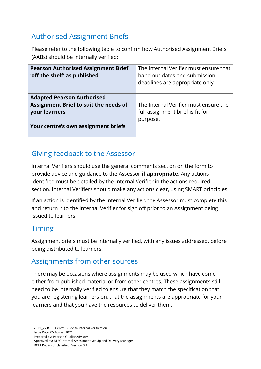## Authorised Assignment Briefs

Please refer to the following table to confirm how Authorised Assignment Briefs (AABs) should be internally verified:

| <b>Pearson Authorised Assignment Brief</b><br>'off the shelf' as published                  | The Internal Verifier must ensure that<br>hand out dates and submission<br>deadlines are appropriate only |
|---------------------------------------------------------------------------------------------|-----------------------------------------------------------------------------------------------------------|
| <b>Adapted Pearson Authorised</b><br>Assignment Brief to suit the needs of<br>your learners | The Internal Verifier must ensure the<br>full assignment brief is fit for<br>purpose.                     |
| Your centre's own assignment briefs                                                         |                                                                                                           |

## Giving feedback to the Assessor

Internal Verifiers should use the general comments section on the form to provide advice and guidance to the Assessor **if appropriate**. Any actions identified must be detailed by the Internal Verifier in the actions required section. Internal Verifiers should make any actions clear, using SMART principles.

If an action is identified by the Internal Verifier, the Assessor must complete this and return it to the Internal Verifier for sign off prior to an Assignment being issued to learners.

## Timing

Assignment briefs must be internally verified, with any issues addressed, before being distributed to learners.

## Assignments from other sources

There may be occasions where assignments may be used which have come either from published material or from other centres. These assignments still need to be internally verified to ensure that they match the specification that you are registering learners on, that the assignments are appropriate for your learners and that you have the resources to deliver them.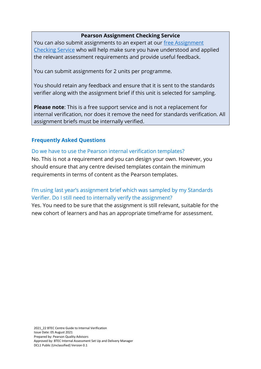#### **Pearson Assignment Checking Service**

You can also submit assignments to an expert at our free Assignment [Checking Service](https://qualifications.pearson.com/en/support/Services/assignment-checking-service.html) who will help make sure you have understood and applied the relevant assessment requirements and provide useful feedback.

You can submit assignments for 2 units per programme.

You should retain any feedback and ensure that it is sent to the standards verifier along with the assignment brief if this unit is selected for sampling.

**Please note**: This is a free support service and is not a replacement for internal verification, nor does it remove the need for standards verification. All assignment briefs must be internally verified.

### **Frequently Asked Questions**

#### Do we have to use the Pearson internal verification templates?

No. This is not a requirement and you can design your own. However, you should ensure that any centre devised templates contain the minimum requirements in terms of content as the Pearson templates.

### I'm using last year's assignment brief which was sampled by my Standards Verifier. Do I still need to internally verify the assignment?

Yes. You need to be sure that the assignment is still relevant, suitable for the new cohort of learners and has an appropriate timeframe for assessment.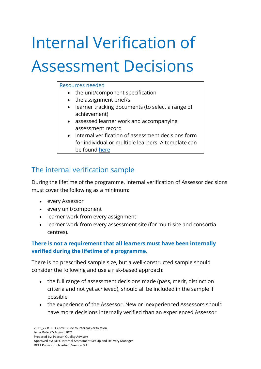## Internal Verification of Assessment Decisions

#### Resources needed

- the unit/component specification
- the assignment brief/s
- learner tracking documents (to select a range of achievement)
- assessed learner work and accompanying assessment record
- internal verification of assessment decisions form for individual or multiple learners. A template can be found [here](https://qualifications.pearson.com/en/support/support-for-you/quality-nominees/btec-entry-level-3.html)

## The internal verification sample

During the lifetime of the programme, internal verification of Assessor decisions must cover the following as a minimum:

- every Assessor
- every unit/component
- learner work from every assignment
- learner work from every assessment site (for multi-site and consortia centres).

## **There is not a requirement that all learners must have been internally verified during the lifetime of a programme.**

There is no prescribed sample size, but a well-constructed sample should consider the following and use a risk-based approach:

- the full range of assessment decisions made (pass, merit, distinction criteria and not yet achieved), should all be included in the sample if possible
- the experience of the Assessor. New or inexperienced Assessors should have more decisions internally verified than an experienced Assessor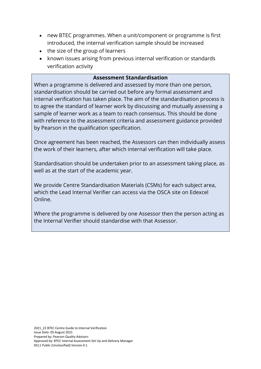- new BTEC programmes. When a unit/component or programme is first introduced, the internal verification sample should be increased
- the size of the group of learners
- known issues arising from previous internal verification or standards verification activity

#### **Assessment Standardisation**

When a programme is delivered and assessed by more than one person, standardisation should be carried out before any formal assessment and internal verification has taken place. The aim of the standardisation process is to agree the standard of learner work by discussing and mutually assessing a sample of learner work as a team to reach consensus. This should be done with reference to the assessment criteria and assessment guidance provided by Pearson in the qualification specification.

Once agreement has been reached, the Assessors can then individually assess the work of their learners, after which internal verification will take place.

Standardisation should be undertaken prior to an assessment taking place, as well as at the start of the academic year.

We provide Centre Standardisation Materials (CSMs) for each subject area, which the Lead Internal Verifier can access via the OSCA site on Edexcel Online.

Where the programme is delivered by one Assessor then the person acting as the Internal Verifier should standardise with that Assessor.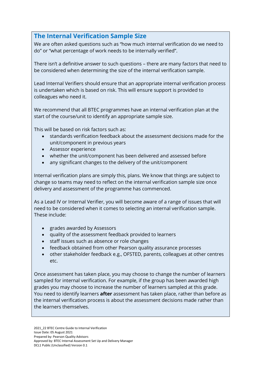## **The Internal Verification Sample Size**

We are often asked questions such as "how much internal verification do we need to do" or "what percentage of work needs to be internally verified".

There isn't a definitive answer to such questions – there are many factors that need to be considered when determining the size of the internal verification sample.

Lead Internal Verifiers should ensure that an appropriate internal verification process is undertaken which is based on risk. This will ensure support is provided to colleagues who need it.

We recommend that all BTEC programmes have an internal verification plan at the start of the course/unit to identify an appropriate sample size.

This will be based on risk factors such as:

- standards verification feedback about the assessment decisions made for the unit/component in previous years
- Assessor experience
- whether the unit/component has been delivered and assessed before
- any significant changes to the delivery of the unit/component

Internal verification plans are simply this, plans. We know that things are subject to change so teams may need to reflect on the internal verification sample size once delivery and assessment of the programme has commenced.

As a Lead IV or Internal Verifier, you will become aware of a range of issues that will need to be considered when it comes to selecting an internal verification sample. These include:

- grades awarded by Assessors
- quality of the assessment feedback provided to learners
- staff issues such as absence or role changes
- feedback obtained from other Pearson quality assurance processes
- other stakeholder feedback e.g., OFSTED, parents, colleagues at other centres etc.

Once assessment has taken place, you may choose to change the number of learners sampled for internal verification. For example, if the group has been awarded high grades you may choose to increase the number of learners sampled at this grade. You need to identify learners **after** assessment has taken place, rather than before as the internal verification process is about the assessment decisions made rather than the learners themselves.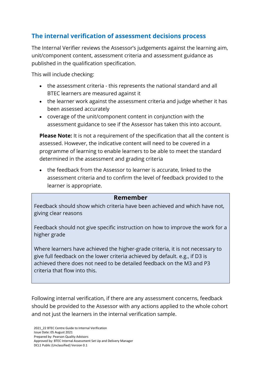## **The internal verification of assessment decisions process**

The Internal Verifier reviews the Assessor's judgements against the learning aim, unit/component content, assessment criteria and assessment guidance as published in the qualification specification.

This will include checking:

- the assessment criteria this represents the national standard and all BTEC learners are measured against it
- the learner work against the assessment criteria and judge whether it has been assessed accurately
- coverage of the unit/component content in conjunction with the assessment guidance to see if the Assessor has taken this into account.

**Please Note:** It is not a requirement of the specification that all the content is assessed. However, the indicative content will need to be covered in a programme of learning to enable learners to be able to meet the standard determined in the assessment and grading criteria

• the feedback from the Assessor to learner is accurate, linked to the assessment criteria and to confirm the level of feedback provided to the learner is appropriate.

### **Remember**

Feedback should show which criteria have been achieved and which have not, giving clear reasons

Feedback should not give specific instruction on how to improve the work for a higher grade

Where learners have achieved the higher-grade criteria, it is not necessary to give full feedback on the lower criteria achieved by default. e.g., if D3 is achieved there does not need to be detailed feedback on the M3 and P3 criteria that flow into this.

Following internal verification, if there are any assessment concerns, feedback should be provided to the Assessor with any actions applied to the whole cohort and not just the learners in the internal verification sample.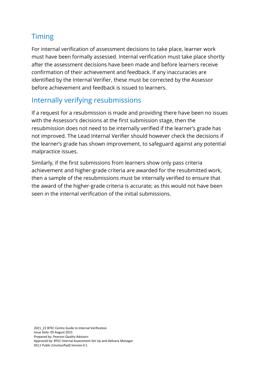## **Timing**

For internal verification of assessment decisions to take place, learner work must have been formally assessed. Internal verification must take place shortly after the assessment decisions have been made and before learners receive confirmation of their achievement and feedback. If any inaccuracies are identified by the Internal Verifier, these must be corrected by the Assessor before achievement and feedback is issued to learners.

## Internally verifying resubmissions

If a request for a resubmission is made and providing there have been no issues with the Assessor's decisions at the first submission stage, then the resubmission does not need to be internally verified if the learner's grade has not improved. The Lead Internal Verifier should however check the decisions if the learner's grade has shown improvement, to safeguard against any potential malpractice issues.

Similarly, if the first submissions from learners show only pass criteria achievement and higher-grade criteria are awarded for the resubmitted work, then a sample of the resubmissions must be internally verified to ensure that the award of the higher-grade criteria is accurate; as this would not have been seen in the internal verification of the initial submissions.